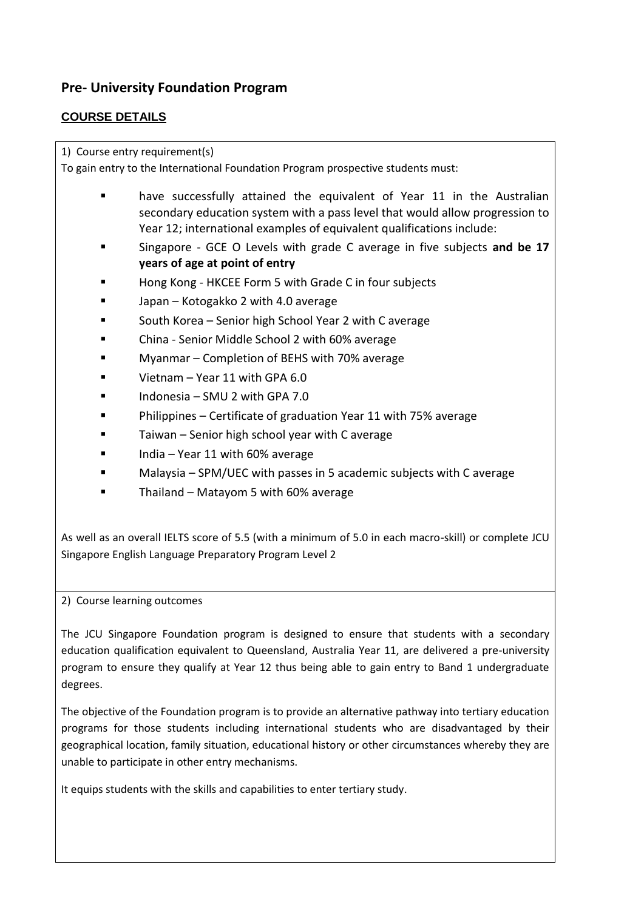# **Pre- University Foundation Program**

# **COURSE DETAILS**

1) Course entry requirement(s)

To gain entry to the International Foundation Program prospective students must:

- have successfully attained the equivalent of Year 11 in the Australian secondary education system with a pass level that would allow progression to Year 12; international examples of equivalent qualifications include:
- Singapore GCE O Levels with grade C average in five subjects **and be 17 years of age at point of entry**
- Hong Kong HKCEE Form 5 with Grade C in four subjects
- Japan Kotogakko 2 with 4.0 average
- South Korea Senior high School Year 2 with C average
- China Senior Middle School 2 with 60% average
- Myanmar Completion of BEHS with 70% average
- Vietnam Year 11 with GPA 6.0
- Indonesia SMU 2 with GPA 7.0
- Philippines Certificate of graduation Year 11 with 75% average
- Taiwan Senior high school year with C average
- India Year 11 with 60% average
- Malaysia SPM/UEC with passes in 5 academic subjects with C average
- Thailand Matayom 5 with 60% average

As well as an overall IELTS score of 5.5 (with a minimum of 5.0 in each macro-skill) or complete JCU Singapore English Language Preparatory Program Level 2

2) Course learning outcomes

The JCU Singapore Foundation program is designed to ensure that students with a secondary education qualification equivalent to Queensland, Australia Year 11, are delivered a pre-university program to ensure they qualify at Year 12 thus being able to gain entry to Band 1 undergraduate degrees.

The objective of the Foundation program is to provide an alternative pathway into tertiary education programs for those students including international students who are disadvantaged by their geographical location, family situation, educational history or other circumstances whereby they are unable to participate in other entry mechanisms.

It equips students with the skills and capabilities to enter tertiary study.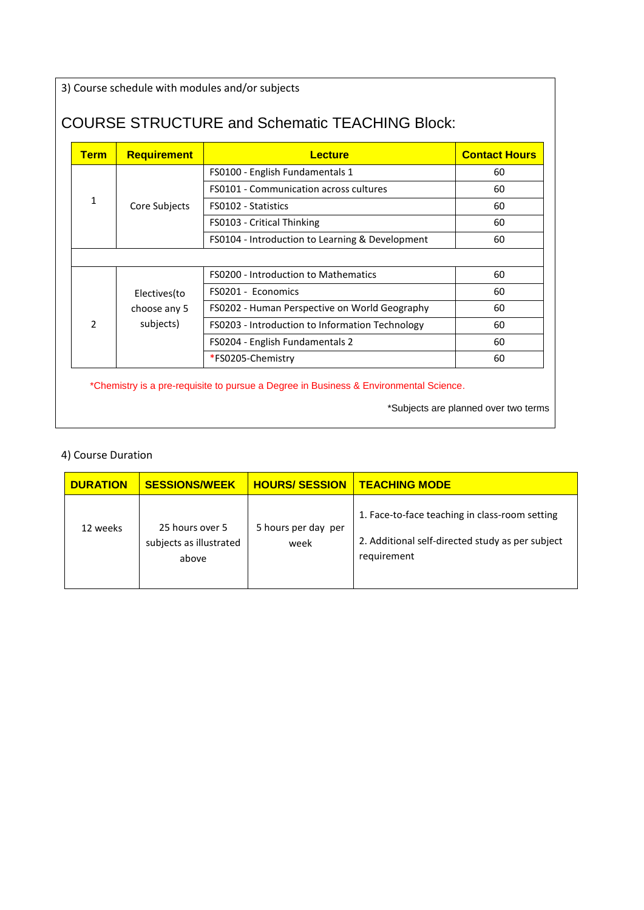3) Course schedule with modules and/or subjects

# COURSE STRUCTURE and Schematic TEACHING Block:

| <b>Term</b>              | <b>Requirement</b> | <b>Lecture</b>                                  | <b>Contact Hours</b> |
|--------------------------|--------------------|-------------------------------------------------|----------------------|
|                          |                    | FS0100 - English Fundamentals 1                 | 60                   |
|                          |                    | <b>FS0101 - Communication across cultures</b>   | 60                   |
| 1                        | Core Subjects      | FS0102 - Statistics                             | 60                   |
|                          |                    | FS0103 - Critical Thinking                      | 60                   |
|                          |                    | FS0104 - Introduction to Learning & Development | 60                   |
|                          |                    |                                                 |                      |
|                          |                    | <b>FS0200 - Introduction to Mathematics</b>     | 60                   |
|                          | Electives (to      | FS0201 - Economics                              | 60                   |
|                          | choose any 5       | FS0202 - Human Perspective on World Geography   | 60                   |
| $\overline{\phantom{a}}$ | subjects)          | FS0203 - Introduction to Information Technology | 60                   |
|                          |                    | FS0204 - English Fundamentals 2                 | 60                   |
|                          |                    | *FS0205-Chemistry                               | 60                   |

\*Chemistry is a pre-requisite to pursue a Degree in Business & Environmental Science.

\*Subjects are planned over two terms

### 4) Course Duration

| <b>DURATION</b> | <b>SESSIONS/WEEK</b>                                | <b>HOURS/SESSION</b>        | <b>TEACHING MODE</b>                                                                                              |
|-----------------|-----------------------------------------------------|-----------------------------|-------------------------------------------------------------------------------------------------------------------|
| 12 weeks        | 25 hours over 5<br>subjects as illustrated<br>above | 5 hours per day per<br>week | 1. Face-to-face teaching in class-room setting<br>2. Additional self-directed study as per subject<br>requirement |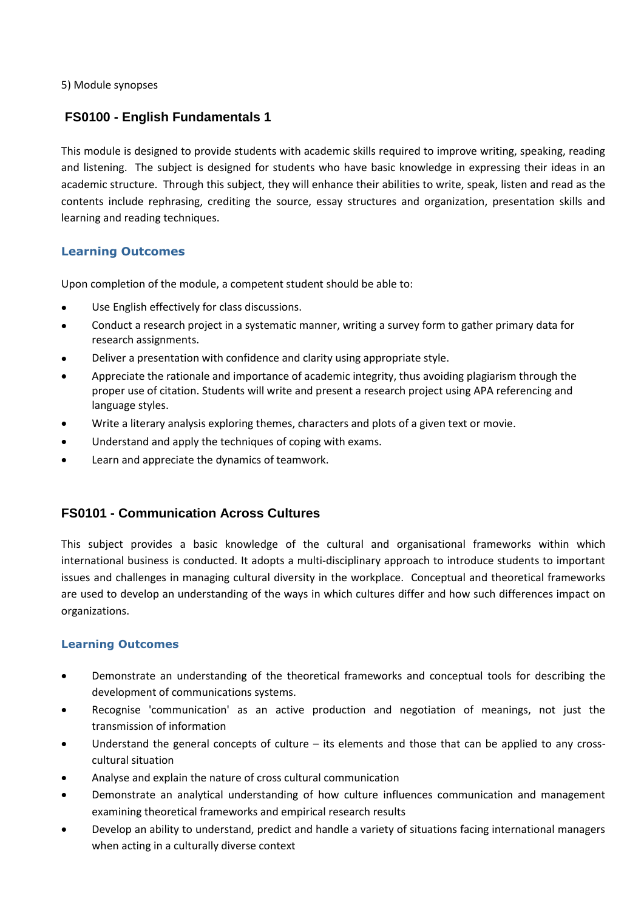5) Module synopses

# **FS0100 - English Fundamentals 1**

This module is designed to provide students with academic skills required to improve writing, speaking, reading and listening. The subject is designed for students who have basic knowledge in expressing their ideas in an academic structure. Through this subject, they will enhance their abilities to write, speak, listen and read as the contents include rephrasing, crediting the source, essay structures and organization, presentation skills and learning and reading techniques.

### **Learning Outcomes**

Upon completion of the module, a competent student should be able to:

- Use English effectively for class discussions.
- Conduct a research project in a systematic manner, writing a survey form to gather primary data for research assignments.
- Deliver a presentation with confidence and clarity using appropriate style.
- Appreciate the rationale and importance of academic integrity, thus avoiding plagiarism through the proper use of citation. Students will write and present a research project using APA referencing and language styles.
- Write a literary analysis exploring themes, characters and plots of a given text or movie.
- Understand and apply the techniques of coping with exams.
- Learn and appreciate the dynamics of teamwork.

# **FS0101 - Communication Across Cultures**

This subject provides a basic knowledge of the cultural and organisational frameworks within which international business is conducted. It adopts a multi-disciplinary approach to introduce students to important issues and challenges in managing cultural diversity in the workplace. Conceptual and theoretical frameworks are used to develop an understanding of the ways in which cultures differ and how such differences impact on organizations.

- Demonstrate an understanding of the theoretical frameworks and conceptual tools for describing the development of communications systems.
- Recognise 'communication' as an active production and negotiation of meanings, not just the transmission of information
- Understand the general concepts of culture its elements and those that can be applied to any crosscultural situation
- Analyse and explain the nature of cross cultural communication
- Demonstrate an analytical understanding of how culture influences communication and management examining theoretical frameworks and empirical research results
- Develop an ability to understand, predict and handle a variety of situations facing international managers when acting in a culturally diverse context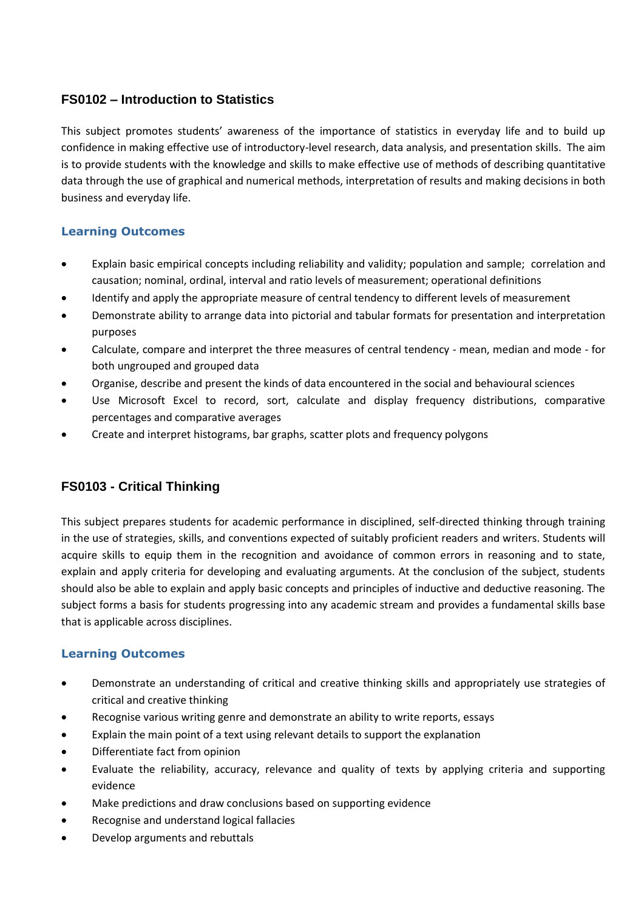# **FS0102 – Introduction to Statistics**

This subject promotes students' awareness of the importance of statistics in everyday life and to build up confidence in making effective use of introductory-level research, data analysis, and presentation skills. The aim is to provide students with the knowledge and skills to make effective use of methods of describing quantitative data through the use of graphical and numerical methods, interpretation of results and making decisions in both business and everyday life.

# **Learning Outcomes**

- Explain basic empirical concepts including reliability and validity; population and sample; correlation and causation; nominal, ordinal, interval and ratio levels of measurement; operational definitions
- Identify and apply the appropriate measure of central tendency to different levels of measurement
- Demonstrate ability to arrange data into pictorial and tabular formats for presentation and interpretation purposes
- Calculate, compare and interpret the three measures of central tendency mean, median and mode for both ungrouped and grouped data
- Organise, describe and present the kinds of data encountered in the social and behavioural sciences
- Use Microsoft Excel to record, sort, calculate and display frequency distributions, comparative percentages and comparative averages
- Create and interpret histograms, bar graphs, scatter plots and frequency polygons

# **FS0103 - Critical Thinking**

This subject prepares students for academic performance in disciplined, self-directed thinking through training in the use of strategies, skills, and conventions expected of suitably proficient readers and writers. Students will acquire skills to equip them in the recognition and avoidance of common errors in reasoning and to state, explain and apply criteria for developing and evaluating arguments. At the conclusion of the subject, students should also be able to explain and apply basic concepts and principles of inductive and deductive reasoning. The subject forms a basis for students progressing into any academic stream and provides a fundamental skills base that is applicable across disciplines.

- Demonstrate an understanding of critical and creative thinking skills and appropriately use strategies of critical and creative thinking
- Recognise various writing genre and demonstrate an ability to write reports, essays
- Explain the main point of a text using relevant details to support the explanation
- Differentiate fact from opinion
- Evaluate the reliability, accuracy, relevance and quality of texts by applying criteria and supporting evidence
- Make predictions and draw conclusions based on supporting evidence
- Recognise and understand logical fallacies
- Develop arguments and rebuttals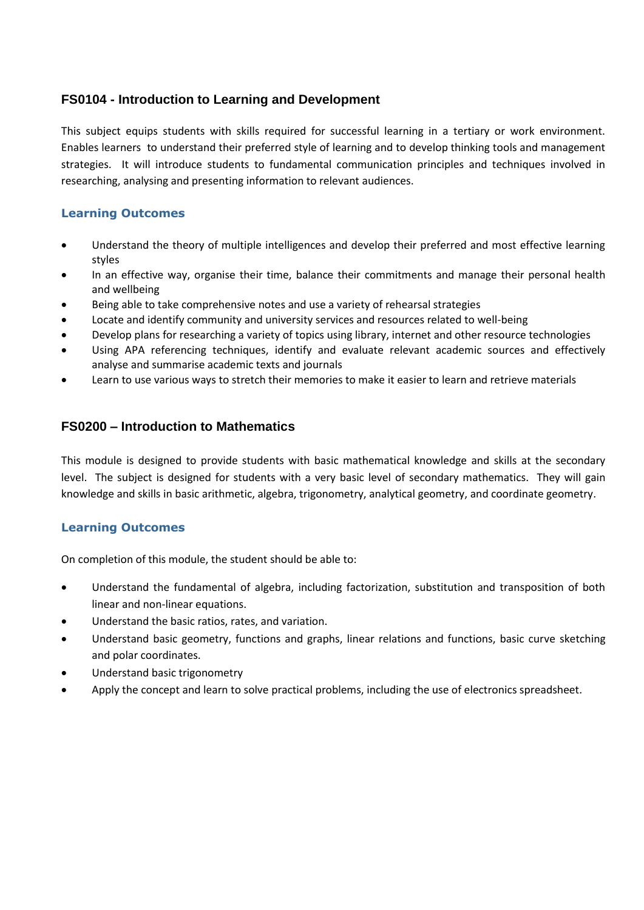# **FS0104 - Introduction to Learning and Development**

This subject equips students with skills required for successful learning in a tertiary or work environment. Enables learners to understand their preferred style of learning and to develop thinking tools and management strategies. It will introduce students to fundamental communication principles and techniques involved in researching, analysing and presenting information to relevant audiences.

### **Learning Outcomes**

- Understand the theory of multiple intelligences and develop their preferred and most effective learning styles
- In an effective way, organise their time, balance their commitments and manage their personal health and wellbeing
- Being able to take comprehensive notes and use a variety of rehearsal strategies
- Locate and identify community and university services and resources related to well-being
- Develop plans for researching a variety of topics using library, internet and other resource technologies
- Using APA referencing techniques, identify and evaluate relevant academic sources and effectively analyse and summarise academic texts and journals
- Learn to use various ways to stretch their memories to make it easier to learn and retrieve materials

# **FS0200 – Introduction to Mathematics**

This module is designed to provide students with basic mathematical knowledge and skills at the secondary level. The subject is designed for students with a very basic level of secondary mathematics. They will gain knowledge and skills in basic arithmetic, algebra, trigonometry, analytical geometry, and coordinate geometry.

### **Learning Outcomes**

On completion of this module, the student should be able to:

- Understand the fundamental of algebra, including factorization, substitution and transposition of both linear and non-linear equations.
- Understand the basic ratios, rates, and variation.
- Understand basic geometry, functions and graphs, linear relations and functions, basic curve sketching and polar coordinates.
- Understand basic trigonometry
- Apply the concept and learn to solve practical problems, including the use of electronics spreadsheet.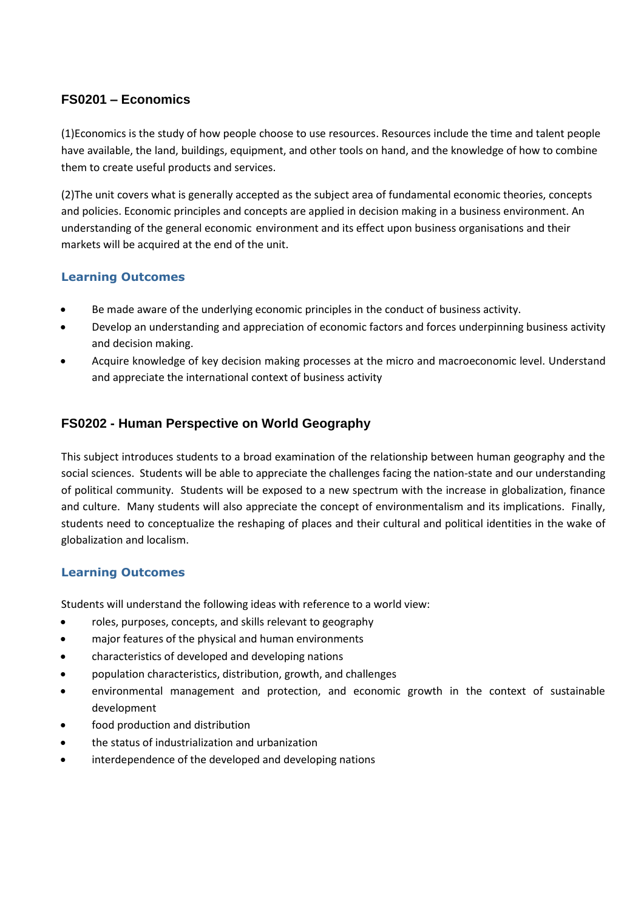# **FS0201 – Economics**

(1)Economics is the study of how people choose to use resources. Resources include the time and talent people have available, the land, buildings, equipment, and other tools on hand, and the knowledge of how to combine them to create useful products and services.

(2)The unit covers what is generally accepted as the subject area of fundamental economic theories, concepts and policies. Economic principles and concepts are applied in decision making in a business environment. An understanding of the general economic environment and its effect upon business organisations and their markets will be acquired at the end of the unit.

# **Learning Outcomes**

- Be made aware of the underlying economic principles in the conduct of business activity.
- Develop an understanding and appreciation of economic factors and forces underpinning business activity and decision making.
- Acquire knowledge of key decision making processes at the micro and macroeconomic level. Understand and appreciate the international context of business activity

# **FS0202 - Human Perspective on World Geography**

This subject introduces students to a broad examination of the relationship between human geography and the social sciences. Students will be able to appreciate the challenges facing the nation-state and our understanding of political community. Students will be exposed to a new spectrum with the increase in globalization, finance and culture. Many students will also appreciate the concept of environmentalism and its implications. Finally, students need to conceptualize the reshaping of places and their cultural and political identities in the wake of globalization and localism.

# **Learning Outcomes**

Students will understand the following ideas with reference to a world view:

- roles, purposes, concepts, and skills relevant to geography
- major features of the physical and human environments
- characteristics of developed and developing nations
- population characteristics, distribution, growth, and challenges
- environmental management and protection, and economic growth in the context of sustainable development
- food production and distribution
- the status of industrialization and urbanization
- interdependence of the developed and developing nations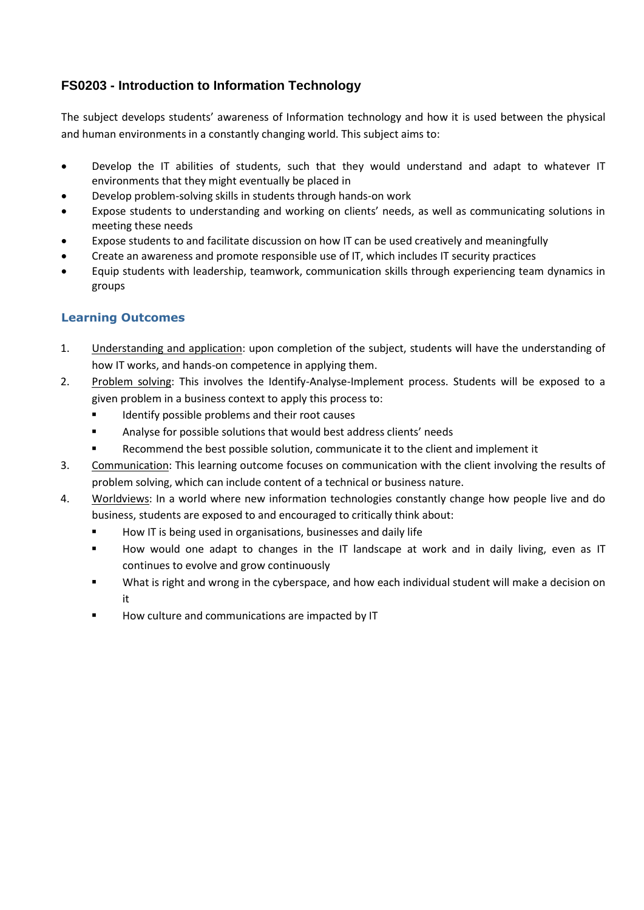# **FS0203 - Introduction to Information Technology**

The subject develops students' awareness of Information technology and how it is used between the physical and human environments in a constantly changing world. This subject aims to:

- Develop the IT abilities of students, such that they would understand and adapt to whatever IT environments that they might eventually be placed in
- Develop problem-solving skills in students through hands-on work
- Expose students to understanding and working on clients' needs, as well as communicating solutions in meeting these needs
- Expose students to and facilitate discussion on how IT can be used creatively and meaningfully
- Create an awareness and promote responsible use of IT, which includes IT security practices
- Equip students with leadership, teamwork, communication skills through experiencing team dynamics in groups

- 1. Understanding and application: upon completion of the subject, students will have the understanding of how IT works, and hands-on competence in applying them.
- 2. Problem solving: This involves the Identify-Analyse-Implement process. Students will be exposed to a given problem in a business context to apply this process to:
	- **IDENTIFY FOR SKIP IDENTIFY POSSIBLE PROBLEMS** and their root causes
	- Analyse for possible solutions that would best address clients' needs
	- Recommend the best possible solution, communicate it to the client and implement it
- 3. Communication: This learning outcome focuses on communication with the client involving the results of problem solving, which can include content of a technical or business nature.
- 4. Worldviews: In a world where new information technologies constantly change how people live and do business, students are exposed to and encouraged to critically think about:
	- **How IT** is being used in organisations, businesses and daily life
	- How would one adapt to changes in the IT landscape at work and in daily living, even as IT continues to evolve and grow continuously
	- What is right and wrong in the cyberspace, and how each individual student will make a decision on it
	- How culture and communications are impacted by IT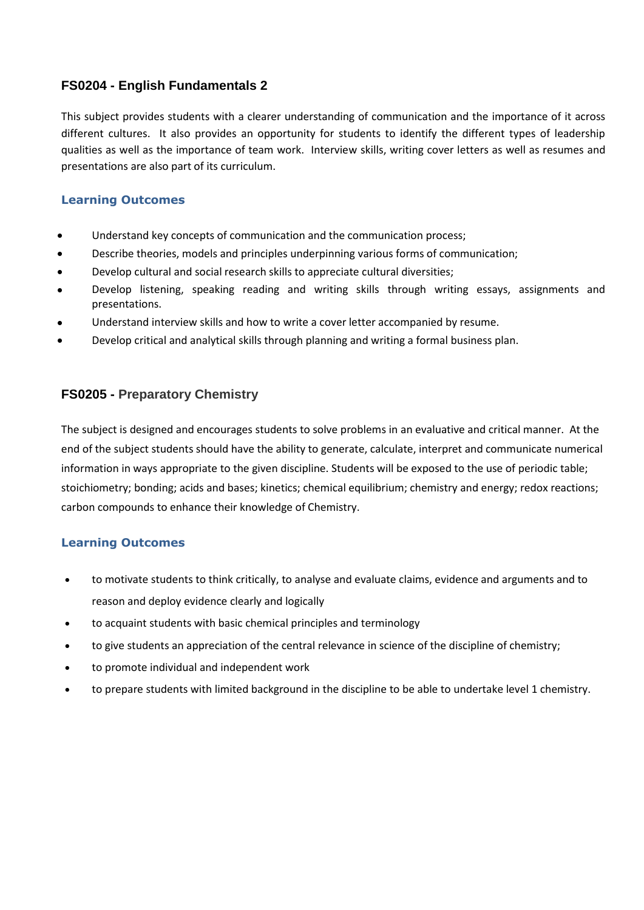# **FS0204 - English Fundamentals 2**

This subject provides students with a clearer understanding of communication and the importance of it across different cultures. It also provides an opportunity for students to identify the different types of leadership qualities as well as the importance of team work. Interview skills, writing cover letters as well as resumes and presentations are also part of its curriculum.

# **Learning Outcomes**

- Understand key concepts of communication and the communication process;
- Describe theories, models and principles underpinning various forms of communication;
- Develop cultural and social research skills to appreciate cultural diversities;
- Develop listening, speaking reading and writing skills through writing essays, assignments and presentations.
- Understand interview skills and how to write a cover letter accompanied by resume.
- Develop critical and analytical skills through planning and writing a formal business plan.

# **FS0205 - Preparatory Chemistry**

The subject is designed and encourages students to solve problems in an evaluative and critical manner. At the end of the subject students should have the ability to generate, calculate, interpret and communicate numerical information in ways appropriate to the given discipline. Students will be exposed to the use of periodic table; stoichiometry; bonding; acids and bases; kinetics; chemical equilibrium; chemistry and energy; redox reactions; carbon compounds to enhance their knowledge of Chemistry.

- to motivate students to think critically, to analyse and evaluate claims, evidence and arguments and to reason and deploy evidence clearly and logically
- to acquaint students with basic chemical principles and terminology
- to give students an appreciation of the central relevance in science of the discipline of chemistry;
- to promote individual and independent work
- to prepare students with limited background in the discipline to be able to undertake level 1 chemistry.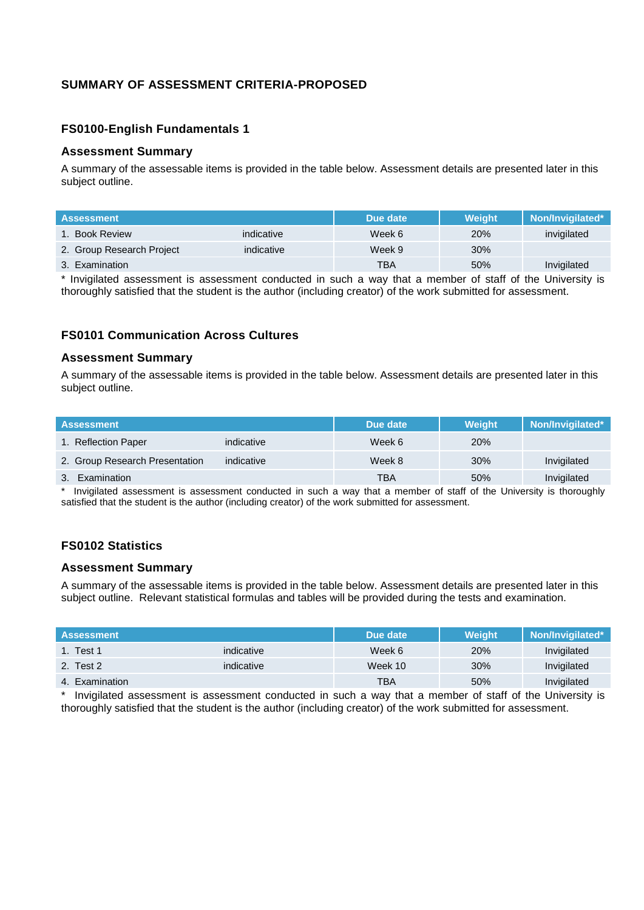# **SUMMARY OF ASSESSMENT CRITERIA-PROPOSED**

#### **FS0100-English Fundamentals 1**

#### **Assessment Summary**

A summary of the assessable items is provided in the table below. Assessment details are presented later in this subject outline.

| <b>Assessment</b>         |            | Due date | <b>Weight</b> | Non/Invigilated* |
|---------------------------|------------|----------|---------------|------------------|
| 1. Book Review            | indicative | Week 6   | 20%           | invigilated      |
| 2. Group Research Project | indicative | Week 9   | 30%           |                  |
| 3. Examination            |            | TBA      | 50%           | Invigilated      |

\* Invigilated assessment is assessment conducted in such a way that a member of staff of the University is thoroughly satisfied that the student is the author (including creator) of the work submitted for assessment.

#### **FS0101 Communication Across Cultures**

#### **Assessment Summary**

A summary of the assessable items is provided in the table below. Assessment details are presented later in this subject outline.

| <b>Assessment</b>              |            | Due date   | Weight | Non/Invigilated* |
|--------------------------------|------------|------------|--------|------------------|
| 1. Reflection Paper            | indicative | Week 6     | 20%    |                  |
| 2. Group Research Presentation | indicative | Week 8     | 30%    | Invigilated      |
| 3. Examination                 |            | <b>TBA</b> | 50%    | Invigilated      |

Invigilated assessment is assessment conducted in such a way that a member of staff of the University is thoroughly satisfied that the student is the author (including creator) of the work submitted for assessment.

### **FS0102 Statistics**

#### **Assessment Summary**

A summary of the assessable items is provided in the table below. Assessment details are presented later in this subject outline. Relevant statistical formulas and tables will be provided during the tests and examination.

| <b>Assessment</b> |            | Due date | <b>Weight</b> | Non/Invigilated* |
|-------------------|------------|----------|---------------|------------------|
| 1. Test 1         | indicative | Week 6   | 20%           | Invigilated      |
| 2. Test 2         | indicative | Week 10  | 30%           | Invigilated      |
| 4. Examination    |            | TBA      | 50%           | Invigilated      |

Invigilated assessment is assessment conducted in such a way that a member of staff of the University is thoroughly satisfied that the student is the author (including creator) of the work submitted for assessment.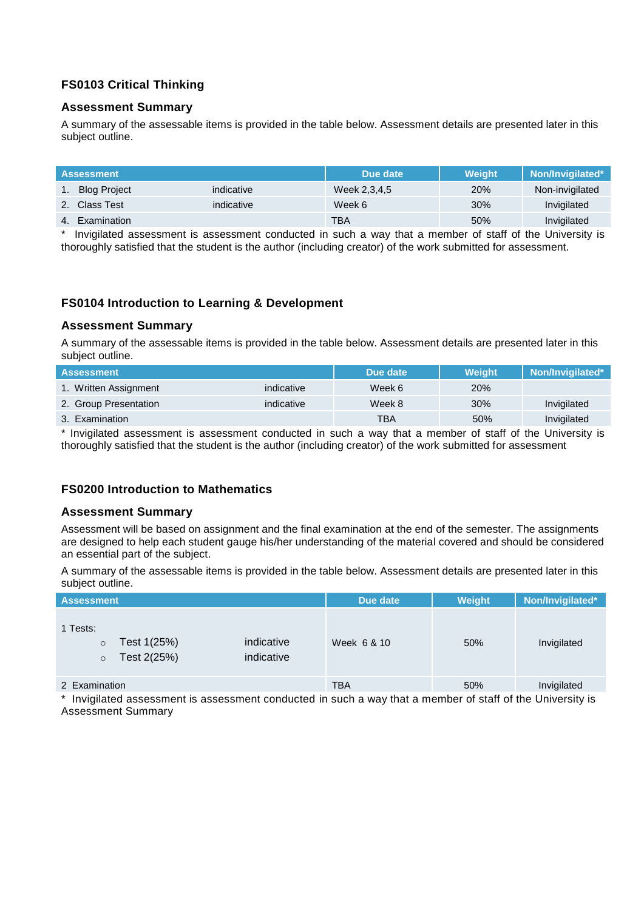### **FS0103 Critical Thinking**

#### **Assessment Summary**

A summary of the assessable items is provided in the table below. Assessment details are presented later in this subject outline.

| <b>Assessment</b>   |            | Due date     | <b>Weight</b> | Non/Invigilated* |
|---------------------|------------|--------------|---------------|------------------|
| <b>Blog Project</b> | indicative | Week 2,3,4,5 | 20%           | Non-invigilated  |
| 2. Class Test       | indicative | Week 6       | 30%           | Invigilated      |
| 4. Examination      |            | <b>TBA</b>   | 50%           | Invigilated      |

Invigilated assessment is assessment conducted in such a way that a member of staff of the University is thoroughly satisfied that the student is the author (including creator) of the work submitted for assessment.

#### **FS0104 Introduction to Learning & Development**

#### **Assessment Summary**

A summary of the assessable items is provided in the table below. Assessment details are presented later in this subject outline.

| <b>Assessment</b>     |            | Due date | Weight     | Non/Invigilated* |
|-----------------------|------------|----------|------------|------------------|
| 1. Written Assignment | indicative | Week 6   | <b>20%</b> |                  |
| 2. Group Presentation | indicative | Week 8   | 30%        | Invigilated      |
| 3. Examination        |            | TBA      | 50%        | Invigilated      |

\* Invigilated assessment is assessment conducted in such a way that a member of staff of the University is thoroughly satisfied that the student is the author (including creator) of the work submitted for assessment

#### **FS0200 Introduction to Mathematics**

#### **Assessment Summary**

Assessment will be based on assignment and the final examination at the end of the semester. The assignments are designed to help each student gauge his/her understanding of the material covered and should be considered an essential part of the subject.

A summary of the assessable items is provided in the table below. Assessment details are presented later in this subject outline.

| <b>Assessment</b>                                            |                          | Due date    | Weight | Non/Invigilated* |
|--------------------------------------------------------------|--------------------------|-------------|--------|------------------|
| 1 Tests:<br>Test 1(25%)<br>$\circ$<br>Test 2(25%)<br>$\circ$ | indicative<br>indicative | Week 6 & 10 | 50%    | Invigilated      |
| 2 Examination                                                |                          | <b>TBA</b>  | 50%    | Invigilated      |
| .                                                            |                          |             |        | .                |

Invigilated assessment is assessment conducted in such a way that a member of staff of the University is Assessment Summary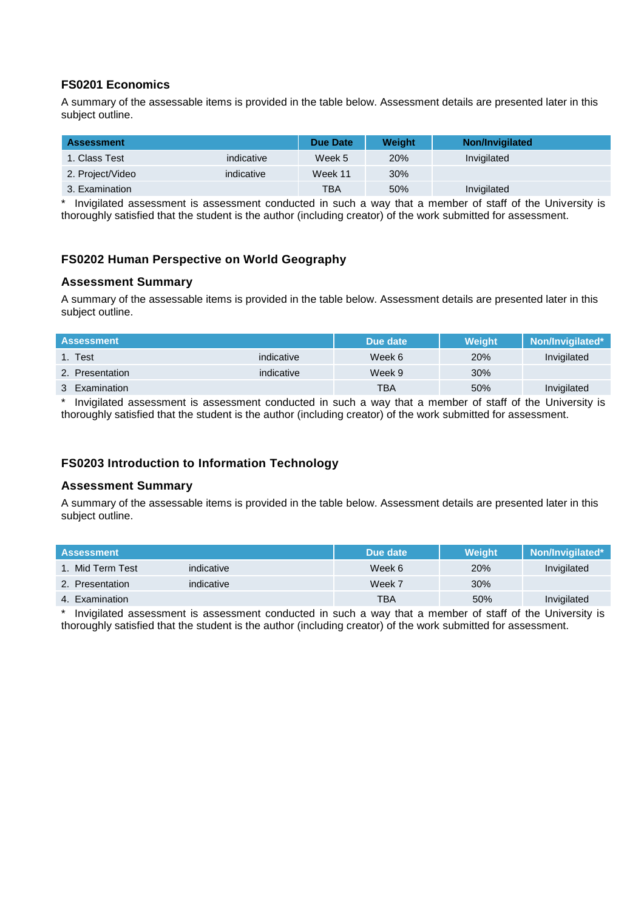### **FS0201 Economics**

A summary of the assessable items is provided in the table below. Assessment details are presented later in this subject outline.

| <b>Assessment</b> |            | <b>Due Date</b> | <b>Weight</b> | <b>Non/Invigilated</b> |
|-------------------|------------|-----------------|---------------|------------------------|
| 1. Class Test     | indicative | Week 5          | 20%           | Invigilated            |
| 2. Project/Video  | indicative | Week 11         | 30%           |                        |
| 3. Examination    |            | <b>TBA</b>      | 50%           | Invigilated            |

\* Invigilated assessment is assessment conducted in such a way that a member of staff of the University is thoroughly satisfied that the student is the author (including creator) of the work submitted for assessment.

### **FS0202 Human Perspective on World Geography**

#### **Assessment Summary**

A summary of the assessable items is provided in the table below. Assessment details are presented later in this subject outline.

| <b>Assessment</b> |            | Due date | <b>Weight</b> | Non/Invigilated* |
|-------------------|------------|----------|---------------|------------------|
| 1. Test           | indicative | Week 6   | 20%           | Invigilated      |
| 2. Presentation   | indicative | Week 9   | 30%           |                  |
| 3 Examination     |            | TBA      | 50%           | Invigilated      |

Invigilated assessment is assessment conducted in such a way that a member of staff of the University is thoroughly satisfied that the student is the author (including creator) of the work submitted for assessment.

# **FS0203 Introduction to Information Technology**

#### **Assessment Summary**

A summary of the assessable items is provided in the table below. Assessment details are presented later in this subject outline.

| <b>Assessment</b> |            | Due date   | <b>Weight</b> | Non/Invigilated* |
|-------------------|------------|------------|---------------|------------------|
| 1. Mid Term Test  | indicative | Week 6     | 20%           | Invigilated      |
| 2. Presentation   | indicative | Week 7     | 30%           |                  |
| 4. Examination    |            | <b>TBA</b> | 50%           | Invigilated      |

Invigilated assessment is assessment conducted in such a way that a member of staff of the University is thoroughly satisfied that the student is the author (including creator) of the work submitted for assessment.